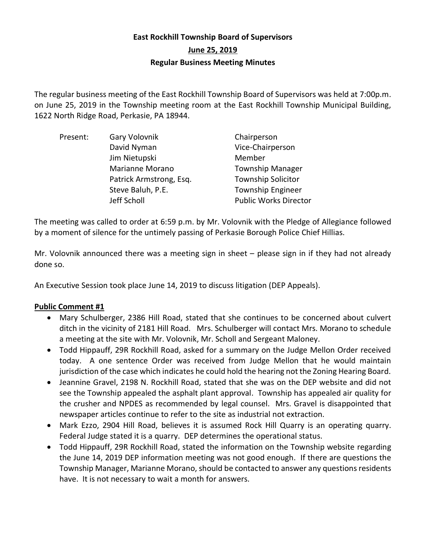# **East Rockhill Township Board of Supervisors June 25, 2019 Regular Business Meeting Minutes**

The regular business meeting of the East Rockhill Township Board of Supervisors was held at 7:00p.m. on June 25, 2019 in the Township meeting room at the East Rockhill Township Municipal Building, 1622 North Ridge Road, Perkasie, PA 18944.

| Present: | Gary Volovnik           | Chairperson                  |
|----------|-------------------------|------------------------------|
|          | David Nyman             | Vice-Chairperson             |
|          | Jim Nietupski           | Member                       |
|          | Marianne Morano         | <b>Township Manager</b>      |
|          | Patrick Armstrong, Esq. | <b>Township Solicitor</b>    |
|          | Steve Baluh, P.E.       | <b>Township Engineer</b>     |
|          | Jeff Scholl             | <b>Public Works Director</b> |

The meeting was called to order at 6:59 p.m. by Mr. Volovnik with the Pledge of Allegiance followed by a moment of silence for the untimely passing of Perkasie Borough Police Chief Hillias.

Mr. Volovnik announced there was a meeting sign in sheet – please sign in if they had not already done so.

An Executive Session took place June 14, 2019 to discuss litigation (DEP Appeals).

# **Public Comment #1**

- Mary Schulberger, 2386 Hill Road, stated that she continues to be concerned about culvert ditch in the vicinity of 2181 Hill Road. Mrs. Schulberger will contact Mrs. Morano to schedule a meeting at the site with Mr. Volovnik, Mr. Scholl and Sergeant Maloney.
- Todd Hippauff, 29R Rockhill Road, asked for a summary on the Judge Mellon Order received today. A one sentence Order was received from Judge Mellon that he would maintain jurisdiction of the case which indicates he could hold the hearing not the Zoning Hearing Board.
- Jeannine Gravel, 2198 N. Rockhill Road, stated that she was on the DEP website and did not see the Township appealed the asphalt plant approval. Township has appealed air quality for the crusher and NPDES as recommended by legal counsel. Mrs. Gravel is disappointed that newspaper articles continue to refer to the site as industrial not extraction.
- Mark Ezzo, 2904 Hill Road, believes it is assumed Rock Hill Quarry is an operating quarry. Federal Judge stated it is a quarry. DEP determines the operational status.
- Todd Hippauff, 29R Rockhill Road, stated the information on the Township website regarding the June 14, 2019 DEP information meeting was not good enough. If there are questions the Township Manager, Marianne Morano, should be contacted to answer any questions residents have. It is not necessary to wait a month for answers.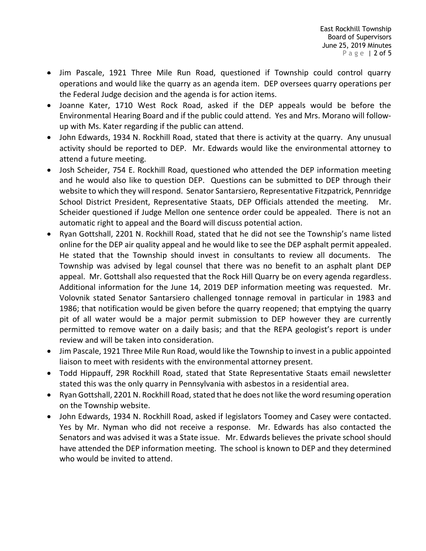- Jim Pascale, 1921 Three Mile Run Road, questioned if Township could control quarry operations and would like the quarry as an agenda item. DEP oversees quarry operations per the Federal Judge decision and the agenda is for action items.
- Joanne Kater, 1710 West Rock Road, asked if the DEP appeals would be before the Environmental Hearing Board and if the public could attend. Yes and Mrs. Morano will followup with Ms. Kater regarding if the public can attend.
- John Edwards, 1934 N. Rockhill Road, stated that there is activity at the quarry. Any unusual activity should be reported to DEP. Mr. Edwards would like the environmental attorney to attend a future meeting.
- Josh Scheider, 754 E. Rockhill Road, questioned who attended the DEP information meeting and he would also like to question DEP. Questions can be submitted to DEP through their website to which they will respond. Senator Santarsiero, Representative Fitzpatrick, Pennridge School District President, Representative Staats, DEP Officials attended the meeting. Mr. Scheider questioned if Judge Mellon one sentence order could be appealed. There is not an automatic right to appeal and the Board will discuss potential action.
- Ryan Gottshall, 2201 N. Rockhill Road, stated that he did not see the Township's name listed online for the DEP air quality appeal and he would like to see the DEP asphalt permit appealed. He stated that the Township should invest in consultants to review all documents. The Township was advised by legal counsel that there was no benefit to an asphalt plant DEP appeal. Mr. Gottshall also requested that the Rock Hill Quarry be on every agenda regardless. Additional information for the June 14, 2019 DEP information meeting was requested. Mr. Volovnik stated Senator Santarsiero challenged tonnage removal in particular in 1983 and 1986; that notification would be given before the quarry reopened; that emptying the quarry pit of all water would be a major permit submission to DEP however they are currently permitted to remove water on a daily basis; and that the REPA geologist's report is under review and will be taken into consideration.
- Jim Pascale, 1921 Three Mile Run Road, would like the Township to invest in a public appointed liaison to meet with residents with the environmental attorney present.
- Todd Hippauff, 29R Rockhill Road, stated that State Representative Staats email newsletter stated this was the only quarry in Pennsylvania with asbestos in a residential area.
- Ryan Gottshall, 2201 N. Rockhill Road, stated that he does not like the word resuming operation on the Township website.
- John Edwards, 1934 N. Rockhill Road, asked if legislators Toomey and Casey were contacted. Yes by Mr. Nyman who did not receive a response. Mr. Edwards has also contacted the Senators and was advised it was a State issue. Mr. Edwards believes the private school should have attended the DEP information meeting. The school is known to DEP and they determined who would be invited to attend.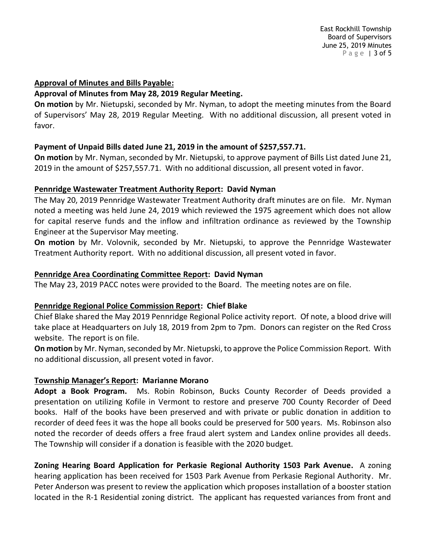# **Approval of Minutes and Bills Payable:**

# **Approval of Minutes from May 28, 2019 Regular Meeting.**

**On motion** by Mr. Nietupski, seconded by Mr. Nyman, to adopt the meeting minutes from the Board of Supervisors' May 28, 2019 Regular Meeting. With no additional discussion, all present voted in favor.

# **Payment of Unpaid Bills dated June 21, 2019 in the amount of \$257,557.71.**

**On motion** by Mr. Nyman, seconded by Mr. Nietupski, to approve payment of Bills List dated June 21, 2019 in the amount of \$257,557.71. With no additional discussion, all present voted in favor.

# **Pennridge Wastewater Treatment Authority Report: David Nyman**

The May 20, 2019 Pennridge Wastewater Treatment Authority draft minutes are on file. Mr. Nyman noted a meeting was held June 24, 2019 which reviewed the 1975 agreement which does not allow for capital reserve funds and the inflow and infiltration ordinance as reviewed by the Township Engineer at the Supervisor May meeting.

**On motion** by Mr. Volovnik, seconded by Mr. Nietupski, to approve the Pennridge Wastewater Treatment Authority report. With no additional discussion, all present voted in favor.

# **Pennridge Area Coordinating Committee Report: David Nyman**

The May 23, 2019 PACC notes were provided to the Board. The meeting notes are on file.

#### **Pennridge Regional Police Commission Report: Chief Blake**

Chief Blake shared the May 2019 Pennridge Regional Police activity report. Of note, a blood drive will take place at Headquarters on July 18, 2019 from 2pm to 7pm. Donors can register on the Red Cross website. The report is on file.

**On motion** by Mr. Nyman, seconded by Mr. Nietupski, to approve the Police Commission Report. With no additional discussion, all present voted in favor.

# **Township Manager's Report: Marianne Morano**

**Adopt a Book Program.** Ms. Robin Robinson, Bucks County Recorder of Deeds provided a presentation on utilizing Kofile in Vermont to restore and preserve 700 County Recorder of Deed books. Half of the books have been preserved and with private or public donation in addition to recorder of deed fees it was the hope all books could be preserved for 500 years. Ms. Robinson also noted the recorder of deeds offers a free fraud alert system and Landex online provides all deeds. The Township will consider if a donation is feasible with the 2020 budget.

**Zoning Hearing Board Application for Perkasie Regional Authority 1503 Park Avenue.** A zoning hearing application has been received for 1503 Park Avenue from Perkasie Regional Authority. Mr. Peter Anderson was present to review the application which proposes installation of a booster station located in the R-1 Residential zoning district. The applicant has requested variances from front and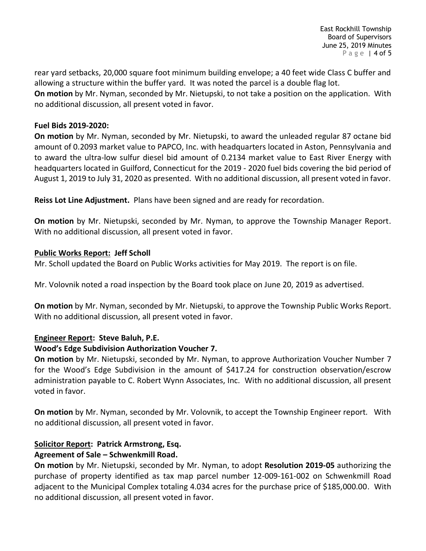rear yard setbacks, 20,000 square foot minimum building envelope; a 40 feet wide Class C buffer and allowing a structure within the buffer yard. It was noted the parcel is a double flag lot. **On motion** by Mr. Nyman, seconded by Mr. Nietupski, to not take a position on the application. With no additional discussion, all present voted in favor.

# **Fuel Bids 2019-2020:**

**On motion** by Mr. Nyman, seconded by Mr. Nietupski, to award the unleaded regular 87 octane bid amount of 0.2093 market value to PAPCO, Inc. with headquarters located in Aston, Pennsylvania and to award the ultra-low sulfur diesel bid amount of 0.2134 market value to East River Energy with headquarters located in Guilford, Connecticut for the 2019 - 2020 fuel bids covering the bid period of August 1, 2019 to July 31, 2020 as presented. With no additional discussion, all present voted in favor.

**Reiss Lot Line Adjustment.** Plans have been signed and are ready for recordation.

**On motion** by Mr. Nietupski, seconded by Mr. Nyman, to approve the Township Manager Report. With no additional discussion, all present voted in favor.

# **Public Works Report: Jeff Scholl**

Mr. Scholl updated the Board on Public Works activities for May 2019. The report is on file.

Mr. Volovnik noted a road inspection by the Board took place on June 20, 2019 as advertised.

**On motion** by Mr. Nyman, seconded by Mr. Nietupski, to approve the Township Public Works Report. With no additional discussion, all present voted in favor.

# **Engineer Report: Steve Baluh, P.E.**

# **Wood's Edge Subdivision Authorization Voucher 7.**

**On motion** by Mr. Nietupski, seconded by Mr. Nyman, to approve Authorization Voucher Number 7 for the Wood's Edge Subdivision in the amount of \$417.24 for construction observation/escrow administration payable to C. Robert Wynn Associates, Inc. With no additional discussion, all present voted in favor.

**On motion** by Mr. Nyman, seconded by Mr. Volovnik, to accept the Township Engineer report. With no additional discussion, all present voted in favor.

## **Solicitor Report: Patrick Armstrong, Esq. Agreement of Sale – Schwenkmill Road.**

**On motion** by Mr. Nietupski, seconded by Mr. Nyman, to adopt **Resolution 2019-05** authorizing the purchase of property identified as tax map parcel number 12-009-161-002 on Schwenkmill Road adjacent to the Municipal Complex totaling 4.034 acres for the purchase price of \$185,000.00. With no additional discussion, all present voted in favor.